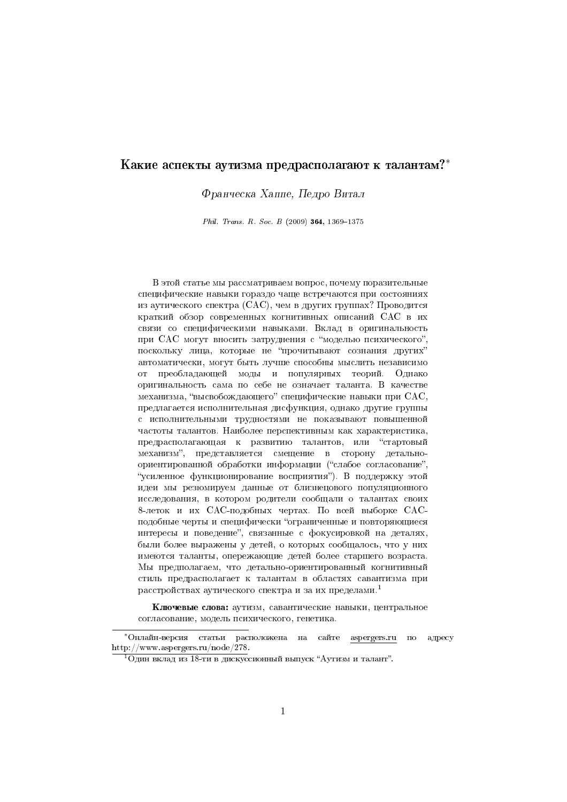# Какие аспекты аутизма предрасполагают к талантам?\*

Франческа Хаппе, Педро Витал

Phil. Trans. R. Soc. B (2009) 364, 1369-1375

В этой статье мы рассматриваем вопрос, почему поразительные специфические навыки гораздо чаще встречаются при состояниях из аутического спектра (САС), чем в других группах? Проводится краткий обзор современных когнитивных описаний САС в их связи со специфическими навыками. Вклад в оригинальность при САС могут вносить затруднения с "моделью психического", поскольку лица, которые не "прочитывают сознания других" автоматически, могут быть лучше способны мыслить независимо от преобладающей моды и популярных теорий. Однако оригинальность сама по себе не означает таланта. В качестве механизма, "высвобождающего" специфические навыки при САС, предлагается исполнительная дисфункция, однако другие группы с исполнительными трудностями не показывают повышенной частоты талантов. Наиболее перспективным как характеристика, предрасполагающая к развитию талантов, или "стартовый механизм", представляется смещение в сторону детальноориентированной обработки информации ("слабое согласование", "усиленное функционирование восприятия"). В поддержку этой идеи мы резюмируем данные от близнецового популяционного исследования, в котором родители сообщали о талантах своих 8-леток и их САС-подобных чертах. По всей выборке САСподобные черты и специфически "ограниченные и повторяющиеся интересы и поведение", связанные с фокусировкой на деталях, были более выражены у детей, о которых сообщалось, что у них имеются таланты, опережающие детей более старшего возраста. Мы предполагаем, что детально-ориентированный когнитивный стиль предрасполагает к талантам в областях савантизма при расстройствах аутического спектра и за их пределами.<sup>1</sup>

Ключевые слова: аутизм, савантические навыки, центральное согласование, модель психического, генетика.

статьи расположена на сайте \*Онлайн-версия aspergers.ru no адресу http://www.aspergers.ru/node/278.

<sup>&</sup>lt;sup>1</sup> Один вклад из 18-ти в дискуссионный выпуск "Аутизм и талант".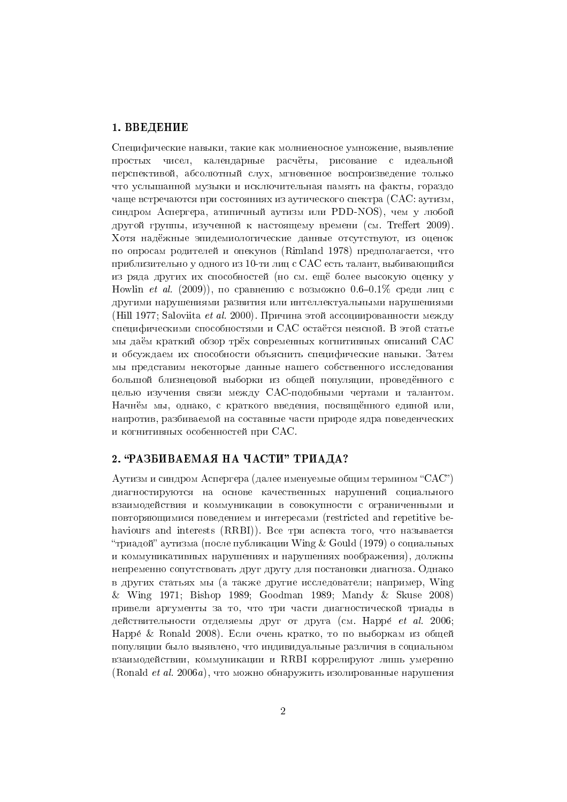#### 1. ВВЕДЕНИЕ

Специфические навыки, такие как молниеносное умножение, выявление простых чисел, календарные расчёты, рисование с идеальной перспективой, абсолютный слух, мгновенное воспроизвеление только что услышанной музыки и исключительная память на факты, гораздо чаще встречаются при состояниях из аутического спектра (САС: аутизм, синдром Аспергера, атипичный аутизм или PDD-NOS), чем у любой другой группы, изученной к настоящему времени (см. Treffert 2009). Хотя надёжные эпидемиологические данные отсутствуют, из оценок по опросам родителей и опекунов (Rimland 1978) предполагается, что приблизительно у одного из 10-ти лиц с САС есть талант, выбивающийся из ряда других их способностей (но см. ещё более высокую оценку у Howlin *et al.* (2009)), по сравнению с возможно 0.6-0.1% среди лиц с другими нарушениями развития или интеллектуальными нарушениями (Hill 1977; Saloviita *et al.* 2000). Причина этой ассоциированности между специфическими способностями и САС остаётся неясной. В этой статье мы даём краткий обзор трёх современных когнитивных описаний САС и обсуждаем их способности объяснить специфические навыки. Затем мы представим некоторые данные нашего собственного исследования большой близнецовой выборки из общей популяции, проведённого с целью изучения связи между САС-подобными чертами и талантом. Начнём мы, однако, с краткого введения, посвящённого единой или, напротив, разбиваемой на составные части природе ядра поведенческих и когнитивных особенностей при САС.

### 2. "РАЗБИВАЕМАЯ НА ЧАСТИ" ТРИАДА?

Аутизм и синдром Аспергера (далее именуемые общим термином "САС") диагностируются на основе качественных нарушений социального взаимодействия и коммуникации в совокупности с ограниченными и повторяющимися поведением и интересами (restricted and repetitive behaviours and interests (RRBI)). Все три аспекта того, что называется "триадой" аутизма (после публикации Wing & Gould (1979) о социальных и коммуникативных нарушениях и нарушениях воображения), должны непременно сопутствовать друг другу для постановки диагноза. Однако в других статьях мы (а также другие исследователи; например. Wing & Wing 1971; Bishop 1989; Goodman 1989; Mandy & Skuse 2008) привели аргументы за то, что три части диагностической триады в действительности отделяемы друг от друга (см. Нарре et al. 2006; Happé & Ronald 2008). Если очень кратко, то по выборкам из общей популяции было выявлено, что индивидуальные различия в социальном взаимодействии, коммуникации и RRBI коррелируют лишь умеренно (Ronald *et al.* 2006a), что можно обнаружить изолированные нарушения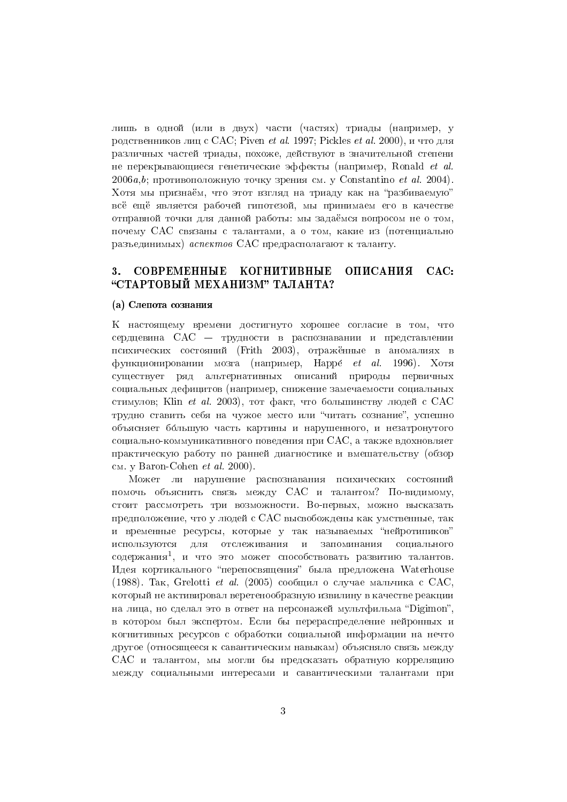лишь в одной (или в двух) части (частях) триады (например, у родственников лиц с САС; Piven et al. 1997; Pickles et al. 2000), и что для различных частей триады, похоже, действуют в значительной степени не перекрывающиеся генетические эффекты (например, Ronald et al.  $2006a,b$ ; противоположную точку зрения см. у Constantino et al. 2004). Хотя мы признаём, что этот взгляд на триаду как на "разбиваемую" всё ещё является рабочей гипотезой, мы принимаем его в качестве отправной точки для данной работы: мы задаёмся вопросом не о том, почему САС связаны с талантами, а о том, какие из (потенциально разъединимых) аспектов САС предрасполагают к таланту.

#### СОВРЕМЕННЫЕ КОГНИТИВНЫЕ  $3<sub>1</sub>$ **ОПИСАНИЯ**  $CAC:$ "СТАРТОВЫЙ МЕХАНИЗМ" ТАЛАНТА?

#### (а) Слепота сознания

К настоящему времени достигнуто хорошее согласие в том, что сердцевина САС - трудности в распознавании и представлении психических состояний (Frith 2003), отражённые в аномалиях в функционировании мозга (например, Нарре́ *et al.* 1996). Хотя существует ряд альтернативных описаний природы первичных социальных дефицитов (например, снижение замечаемости социальных стимулов; Klin et al. 2003), тот факт, что большинству людей с САС трудно ставить себя на чужое место или "читать сознание", успешно объясняет большую часть картины и нарушенного, и незатронутого социально-коммуникативного поведения при САС, а также вдохновляет практическую работу по ранней диагностике и вмешательству (обзор CM. y Baron-Cohen  $et$  al. 2000).

Может ли нарушение распознавания психических состояний помочь объяснить связь между САС и талантом? По-видимому, стоит рассмотреть три возможности. Во-первых, можно высказать предположение, что у людей с САС высвобождены как умственные, так и временные ресурсы, которые у так называемых "нейротипиков" используются для отслеживания и запоминания социального содержания<sup>1</sup>, и что это может способствовать развитию талантов. Илея кортикального "перепосвящения" была предложена Waterhouse (1988). Так. Grelotti et al. (2005) сообщил о случае мальчика с САС. который не активировал веретенообразную извилину в качестве реакции на лица, но сделал это в ответ на персонажей мультфильма "Digimon", в котором был экспертом. Если бы перераспределение нейронных и когнитивных ресурсов с обработки социальной информации на нечто другое (относящееся к савантическим навыкам) объясняло связь между САС и талантом, мы могли бы предсказать обратную корреляцию между социальными интересами и савантическими талантами при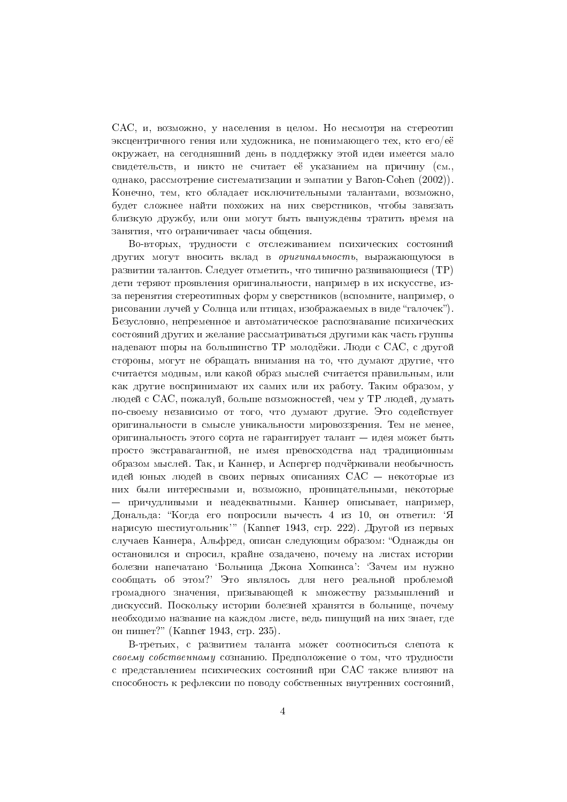САС, и, возможно, у населения в целом. Но несмотря на стереотип эксцентричного гения или художника, не понимающего тех, кто его/её окружает, на сегодняшний день в поддержку этой идеи имеется мало свидетельств, и никто не считает её указанием на причину (см., однако, рассмотрение систематизации и эмпатии у Baron-Cohen (2002)). Конечно, тем, кто обладает исключительными талантами, возможно, булет сложнее найти похожих на них сверстников, чтобы завязать близкую дружбу, или они могут быть вынуждены тратить время на занятия, что ограничивает часы общения.

Во-вторых, трудности с отслеживанием психических состояний других могут вносить вклад в оригинальность, выражающуюся в развитии талантов. Следует отметить, что типично развивающиеся (ТР) дети теряют проявления оригинальности, например в их искусстве, изза перенятия стереотипных форм у сверстников (вспомните, например, о рисовании лучей у Солнца или птицах, изображаемых в виде "галочек"). Безусловно, непременное и автоматическое распознавание психических состояний других и желание рассматриваться другими как часть группы надевают шоры на большинство ТР молодёжи. Люди с САС, с другой стороны, могут не обращать внимания на то, что думают другие, что считается модным, или какой образ мыслей считается правильным, или как другие воспринимают их самих или их работу. Таким образом, у людей с САС, пожалуй, больше возможностей, чем у ТР людей, думать по-своему независимо от того, что думают другие. Это содействует оригинальности в смысле уникальности мировоззрения. Тем не менее, оригинальность этого сорта не гарантирует талант - идея может быть просто экстравагантной, не имея превосходства над традиционным образом мыслей. Так, и Каннер, и Аспергер подчёркивали необычность идей юных людей в своих первых описаниях  $CAC$  — некоторые из них были интересными и, возможно, проницательными, некоторые — причудливыми и неадекватными. Каннер описывает, например, Дональда: "Когда его попросили вычесть 4 из 10, он ответил: 'Я нарисую шестиугольник'" (Kanner 1943, стр. 222). Другой из первых случаев Каннера, Альфред, описан следующим образом: "Однажды он остановился и спросил, крайне озадачено, почему на листах истории болезни напечатано Больница Джона Хопкинса': 'Зачем им нужно сообщать об этом? Это являлось для него реальной проблемой громадного значения, призывающей к множеству размышлений и дискуссий. Поскольку истории болезней хранятся в больнице, почему необходимо название на каждом листе, ведь пишущий на них знает, где он пишет?" (Kanner 1943, стр. 235).

В-третьих, с развитием таланта может соотноситься слепота к своему собственному сознанию. Предположение о том, что трудности с представлением психических состояний при САС также влияют на способность к рефлексии по поводу собственных внутренних состояний.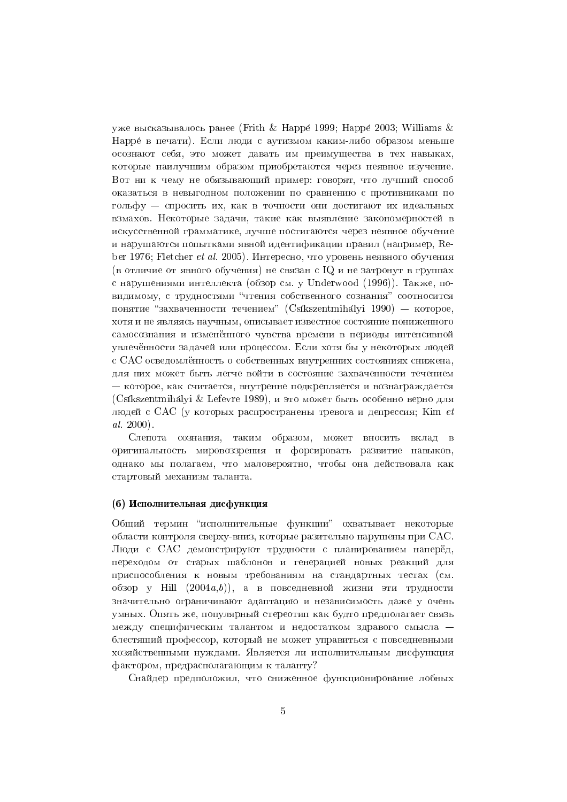уже высказывалось ранее (Frith & Happé 1999; Happé 2003; Williams & Нарре в печати). Если люди с аутизмом каким-либо образом меньше осознают себя, это может давать им преимущества в тех навыках, которые наилучшим образом приобретаются через неявное изучение. Вот ни к чему не обязывающий пример: говорят, что лучший способ оказаться в невыгодном положении по сравнению с противниками по гольфу — спросить их, как в точности они лостигают их илеальных взмахов. Некоторые задачи, такие как выявление закономерностей в искусственной грамматике, лучше постигаются через неявное обучение и нарушаются попытками явной идентификации правил (например, Reber 1976; Fletcher et al. 2005). Интересно, что уровень неявного обучения (в отличие от явного обучения) не связан с IQ и не затронут в группах с нарушениями интеллекта (обзор см. у Underwood (1996)). Также, повидимому, с трудностями "чтения собственного сознания" соотносится понятие "захваченности течением" (Csíkszentmihályi 1990) — которое, хотя и не являясь научным, описывает известное состояние пониженного самосознания и изменённого чувства времени в периоды интенсивной увлечённости задачей или процессом. Если хотя бы у некоторых людей с САС осведомлённость о собственных внутренних состояниях снижена. для них может быть легче войти в состояние захваченности течением - которое, как считается, внутренне подкрепляется и вознаграждается (Csíkszentmihályi & Lefevre 1989), и это может быть особенно верно для людей с САС (у которых распространены тревога и депрессия; Kim et  $al. 2000$ ).

Слепота сознания, таким образом, может вносить вклад в оригинальность мировоззрения и форсировать развитие навыков, однако мы полагаем, что маловероятно, чтобы она действовала как стартовый механизм таланта.

#### (б) Исполнительная дисфункция

Общий термин "исполнительные функции" охватывает некоторые области контроля сверху-вниз, которые разительно нарушены при САС. Люди с САС демонстрируют трудности с планированием наперёд, переходом от старых шаблонов и генерацией новых реакций для приспособления к новым требованиям на стандартных тестах (см. обзор у Ніll  $(2004a,b)$ ), а в повседневной жизни эти трудности значительно ограничивают адаптацию и независимость даже у очень умных. Опять же, популярный стереотип как будто предполагает связь между специфическим талантом и недостатком здравого смысла блестящий профессор, который не может управиться с повседневными хозяйственными нуждами. Является ли исполнительным дисфункция фактором, предрасполагающим к таланту?

Снайдер предположил, что сниженное функционирование лобных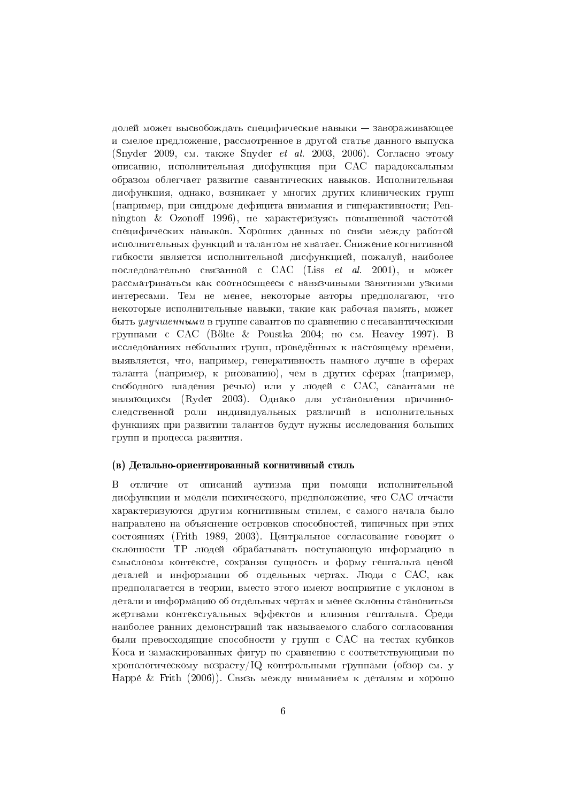долей может высвобождать специфические навыки - завораживающее и смелое предложение, рассмотренное в другой статье данного выпуска (Snyder 2009, см. также Snyder et al. 2003, 2006). Согласно этому описанию, исполнительная дисфункция при САС парадоксальным образом облегчает развитие савантических навыков. Исполнительная дисфункция, однако, возникает у многих других клинических групп (например, при синдроме дефицита внимания и гиперактивности: Репnington & Ozonoff 1996), не характеризуясь повышенной частотой специфических навыков. Хороших данных по связи между работой исполнительных функций и талантом не хватает. Снижение когнитивной гибкости является исполнительной дисфункцией, пожалуй, наиболее последовательно связанной с САС (Liss *et al.* 2001), и может рассматриваться как соотносящееся с навязчивыми занятиями узкими интересами. Тем не менее, некоторые авторы предполагают, что некоторые исполнительные навыки, такие как рабочая память, может быть улучшенными в группе савантов по сравнению с несавантическими группами с САС (Bölte & Poustka 2004; но см. Неауеу 1997). В исследованиях небольших групп, проведённых к настоящему времени, выявляется, что, например, генеративность намного лучше в сферах таланта (например, к рисованию), чем в других сферах (например, свободного владения речью) или у людей с САС, савантами не являющихся (Ryder 2003). Однако для установления причинноследственной роли индивидуальных различий в исполнительных функциях при развитии талантов булут нужны исслелования больших групп и процесса развития.

#### (в) Детально-ориентированный когнитивный стиль

В отличие от описаний аутизма при помощи исполнительной дисфункции и модели психического, предположение, что САС отчасти характеризуются другим когнитивным стилем, с самого начала было направлено на объяснение островков способностей, типичных при этих состояниях (Frith 1989, 2003). Центральное согласование говорит о склонности ТР людей обрабатывать поступающую информацию в смысловом контексте, сохраняя сущность и форму гештальта ценой деталей и информации об отдельных чертах. Люди с САС, как предполагается в теории, вместо этого имеют восприятие с уклоном в детали и информацию об отдельных чертах и менее склонны становиться жертвами контекстуальных эффектов и влияния гештальта. Среди наиболее ранних демонстраций так называемого слабого согласования были превосходящие способности у групп с САС на тестах кубиков Коса и замаскированных фигур по сравнению с соответствующими по хронологическому возрасту/IQ контрольными группами (обзор см. у Нарре́ & Frith (2006)). Связь между вниманием к деталям и хорошо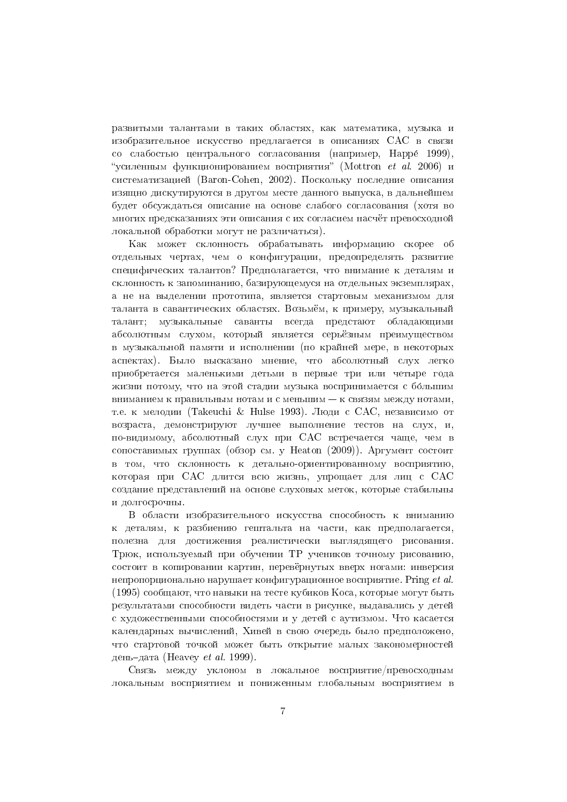развитыми талантами в таких областях, как математика, музыка и изобразительное искусство предлагается в описаниях САС в связи со слабостью центрального согласования (например, Нарре́ 1999), "усиленным функционированием восприятия" (Mottron et al. 2006) и систематизацией (Baron-Cohen, 2002). Поскольку последние описания изящно дискутируются в другом месте данного выпуска, в дальнейшем булет обсуждаться описание на основе слабого согласования (хотя во многих предсказаниях эти описания с их согласием насчёт превосходной локальной обработки могут не различаться).

Как может склонность обрабатывать информацию скорее об отдельных чертах, чем о конфигурации, предопределять развитие специфических талантов? Предполагается, что внимание к деталям и склонность к запоминанию, базирующемуся на отдельных экземплярах, а не на выделении прототипа, является стартовым механизмом для таланта в савантических областях. Возьмём, к примеру, музыкальный талант; музыкальные саванты всегда предстают обладающими абсолютным слухом, который является серьёзным преимуществом в музыкальной памяти и исполнении (по крайней мере, в некоторых аспектах). Было высказано мнение, что абсолютный слух легко приобретается маленькими детьми в первые три или четыре года жизни потому, что на этой стадии музыка воспринимается с большим вниманием к правильным нотам и с меньшим - к связям между нотами, т.е. к мелодии (Takeuchi & Hulse 1993). Люди с САС, независимо от возраста, демонстрируют лучшее выполнение тестов на слух, и, по-видимому, абсолютный слух при САС встречается чаще, чем в сопоставимых группах (обзор см. у Heaton (2009)). Аргумент состоит в том, что склонность к детально-ориентированному восприятию, которая при САС длится всю жизнь, упрощает для лиц с САС создание представлений на основе слуховых меток, которые стабильны и долгосрочны.

В области изобразительного искусства способность к вниманию к деталям, к разбиению гештальта на части, как предполагается, полезна для достижения реалистически выглядящего рисования. Трюк, используемый при обучении ТР учеников точному рисованию, состоит в копировании картин, перевёрнутых вверх ногами: инверсия непропорционально нарушает конфигурационное восприятие. Pring *et al.* (1995) сообщают, что навыки на тесте кубиков Коса, которые могут быть результатами способности видеть части в рисунке, выдавались у детей с художественными способностями и у детей с аутизмом. Что касается календарных вычислений, Хивей в свою очередь было предположено, что стартовой точкой может быть открытие малых закономерностей день-дата (Heavey *et al.* 1999).

Связь между уклоном в локальное восприятие/превосходным локальным восприятием и пониженным глобальным восприятием в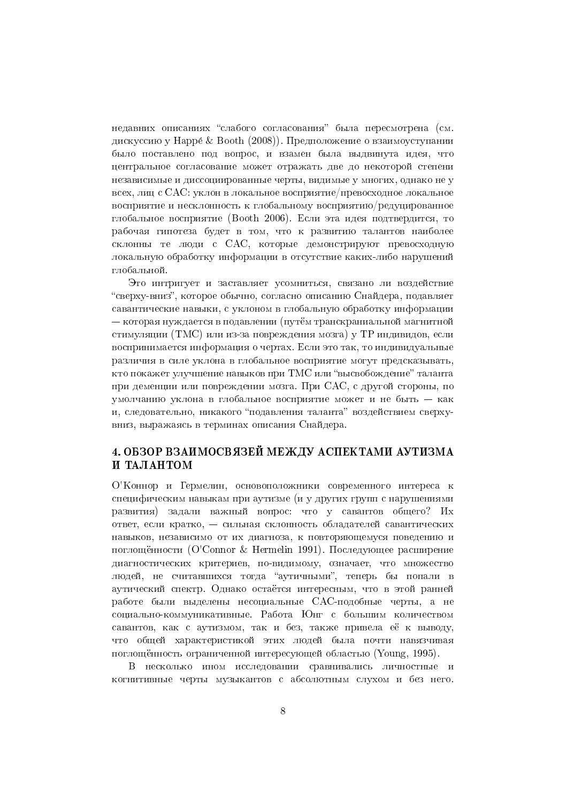недавних описаниях "слабого согласования" была пересмотрена (см. дискуссию у Нарре́ & Booth (2008)). Предположение о взаимоуступании было поставлено под вопрос, и взамен была выдвинута идея, что центральное согласование может отражать две до некоторой степени независимые и диссоциированные черты, видимые у многих, однако не у всех, лиц с САС: уклон в локальное восприятие/превосходное локальное восприятие и несклонность к глобальному восприятию/релуцированное глобальное восприятие (Booth 2006). Если эта идея подтвердится, то рабочая гипотеза будет в том, что к развитию талантов наиболее склонны те люди с САС, которые демонстрируют превосходную локальную обработку информации в отсутствие каких-либо нарушений глобальной.

Это интригует и заставляет усомниться, связано ли воздействие "сверху-вниз", которое обычно, согласно описанию Снайдера, подавляет савантические навыки, с уклоном в глобальную обработку информации — которая нуждается в подавлении (путём транскраниальной магнитной стимуляции (ТМС) или из-за повреждения мозга) у ТР индивидов, если воспринимается информация о чертах. Если это так, то индивидуальные различия в силе уклона в глобальное восприятие могут предсказывать. кто покажет улучшение навыков при ТМС или "высвобождение" таланта при деменции или повреждении мозга. При САС, с другой стороны, по умолчанию уклона в глобальное восприятие может и не быть - как и, следовательно, никакого "подавления таланта" воздействием сверхувниз, выражаясь в терминах описания Снайдера.

# 4. ОБЗОР ВЗАИМОСВЯЗЕЙ МЕЖДУ АСПЕКТАМИ АУТИЗМА И ТАЛАНТОМ

О'Коннор и Гермелин, основоположники современного интереса к специфическим навыкам при аутизме (и у других групп с нарушениями развития) задали важный вопрос: что у савантов общего? Их ответ, если кратко, - сильная склонность обладателей савантических навыков, независимо от их диагноза, к повторяющемуся поведению и поглощённости (O'Connor & Hermelin 1991). Последующее расширение диагностических критериев, по-видимому, означает, что множество людей, не считавшихся тогда "аутичными", теперь бы попали в аутический спектр. Однако остаётся интересным, что в этой ранней работе были выделены несоциальные САС-подобные черты, а не социально-коммуникативные. Работа Юнг с большим количеством савантов, как с аутизмом, так и без, также привела её к выводу, что общей характеристикой этих людей была почти навязчивая поглощённость ограниченной интересующей областью (Young, 1995).

В несколько ином исследовании сравнивались личностные и когнитивные черты музыкантов с абсолютным слухом и без него.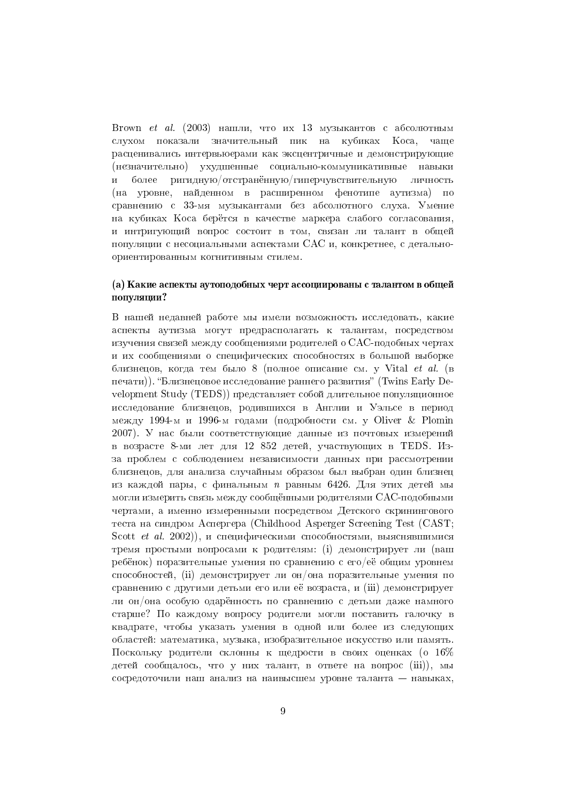Brown et al. (2003) нашли, что их 13 музыкантов с абсолютным слухом показали значительный пик на кубиках Коса, чаще расценивались интервьюерами как эксцентричные и демонстрирующие (незначительно) ухудшенные социально-коммуникативные навыки более ригидную/отстранённую/гиперчувствительную  $\overline{\mathbf{M}}$ личность (на уровне, найденном в расширенном фенотипе аутизма) по сравнению с 33-мя музыкантами без абсолютного слуха. Умение на кубиках Коса берётся в качестве маркера слабого согласования, и интригующий вопрос состоит в том, связан ли талант в общей популяции с несоциальными аспектами САС и, конкретнее, с детальноориентированным когнитивным стилем.

## (а) Какие аспекты аутоподобных черт ассоциированы с талантом в общей популяции?

В нашей недавней работе мы имели возможность исследовать, какие аспекты аутизма могут предрасполагать к талантам, посредством изучения связей между сообщениями родителей о САС-подобных чертах и их сообщениями о специфических способностях в большой выборке близнецов, когда тем было 8 (полное описание см. у Vital et al. (в печати)). "Близнецовое исследование раннего развития" (Twins Early Development Study (TEDS)) представляет собой длительное популяционное исследование близнецов, родившихся в Англии и Уэльсе в период между 1994-м и 1996-м годами (подробности см. у Oliver & Plomin 2007). У нас были соответствующие данные из почтовых измерений в возрасте 8-ми лет для 12 852 детей, участвующих в ТЕDS. Изза проблем с соблюдением независимости данных при рассмотрении близнецов, для анализа случайным образом был выбран один близнец из каждой пары, с финальным *п* равным 6426. Для этих детей мы могли измерить связь межлу сообщёнными ролителями САС-полобными чертами, а именно измеренными посредством Детского скринингового теста на синдром Аспергера (Childhood Asperger Screening Test (CAST; Scott et al. 2002)), и специфическими способностями, выяснявшимися тремя простыми вопросами к родителям: (i) демонстрирует ли (ваш ребёнок) поразительные умения по сравнению с его/её общим уровнем способностей, (ii) демонстрирует ли он/она поразительные умения по сравнению с другими детьми его или её возраста, и (iii) демонстрирует ли он/она особую одарённость по сравнению с детьми даже намного старше? По каждому вопросу родители могли поставить галочку в квадрате, чтобы указать умения в одной или более из следующих областей: математика, музыка, изобразительное искусство или память. Поскольку ролители склонны к шелрости в своих опенках (о 16% летей сообщалось, что у них талант, в ответе на вопрос (iii)), мы сосредоточили наш анализ на наивысшем уровне таланта - навыках,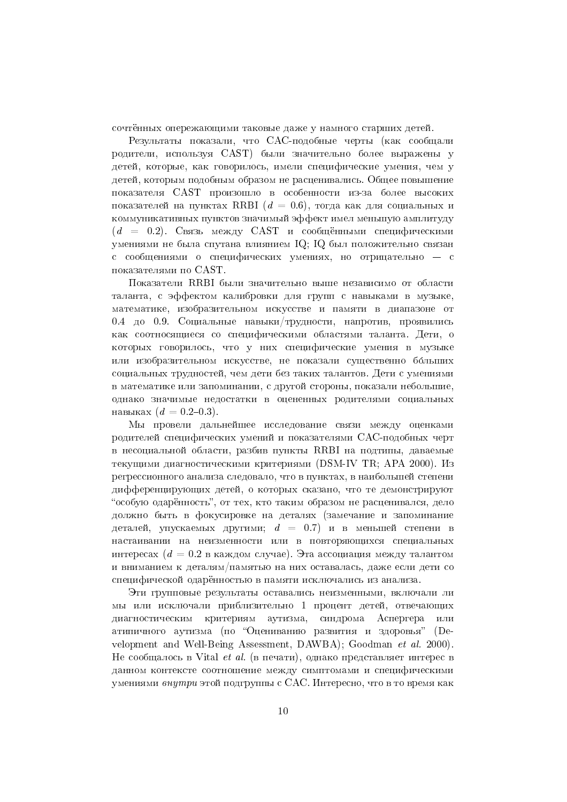сочтённых опережающими таковые даже у намного старших детей.

Результаты показали, что САС-подобные черты (как сообщали родители, используя CAST) были значительно более выражены у детей, которые, как говорилось, имели специфические умения, чем у детей, которым подобным образом не расценивались. Общее повышение показателя CAST произошло в особенности из-за более высоких показателей на пунктах RRBI ( $d = 0.6$ ), тогла как лля социальных и коммуникативных пунктов значимый эффект имел меньшую амплитуду  $(d = 0.2)$ . Связь между CAST и сообщёнными специфическими умениями не была спутана влиянием IQ; IQ был положительно связан с сообщениями о специфических умениях, но отрицательно - с показателями по CAST.

Показатели RRBI были значительно выше независимо от области таланта, с эффектом калибровки для групп с навыками в музыке, математике, изобразительном искусстве и памяти в диапазоне от 0.4 до 0.9. Социальные навыки/трудности, напротив, проявились как соотносящиеся со специфическими областями таланта. Дети, о которых говорилось, что у них специфические умения в музыке или изобразительном искусстве, не показали существенно больших социальных трудностей, чем дети без таких талантов. Дети с умениями в математике или запоминании, с другой стороны, показали небольшие, однако значимые недостатки в оцененных родителями социальных навыках  $(d = 0.2{\text -}0.3)$ .

Мы провели лальнейшее исслелование связи межлу опенками родителей специфических умений и показателями САС-подобных черт в несоциальной области, разбив пункты RRBI на подтипы, даваемые текущими диагностическими критериями (DSM-IV TR; APA 2000). Из регрессионного анализа следовало, что в пунктах, в наибольшей степени дифференцирующих детей, о которых сказано, что те демонстрируют "особую одарённость", от тех, кто таким образом не расценивался, дело должно быть в фокусировке на деталях (замечание и запоминание деталей, упускаемых другими;  $d = 0.7$ ) и в меньшей степени в настаивании на неизменности или в повторяющихся специальных интересах ( $d = 0.2$  в каждом случае). Эта ассоциация между талантом и вниманием к деталям/памятью на них оставалась, даже если дети со специфической одарённостью в памяти исключались из анализа.

Эти групповые результаты оставались неизменными, включали ли мы или исключали приблизительно 1 процент детей, отвечающих диагностическим критериям аутизма, синдрома Аспергера ИЛИ атипичного аутизма (по "Оцениванию развития и здоровья"  $(De$ velopment and Well-Being Assessment, DAWBA); Goodman et al. 2000). Не сообщалось в Vital et al. (в печати), однако представляет интерес в данном контексте соотношение между симптомами и специфическими умениями внутри этой подгруппы с САС. Интересно, что в то время как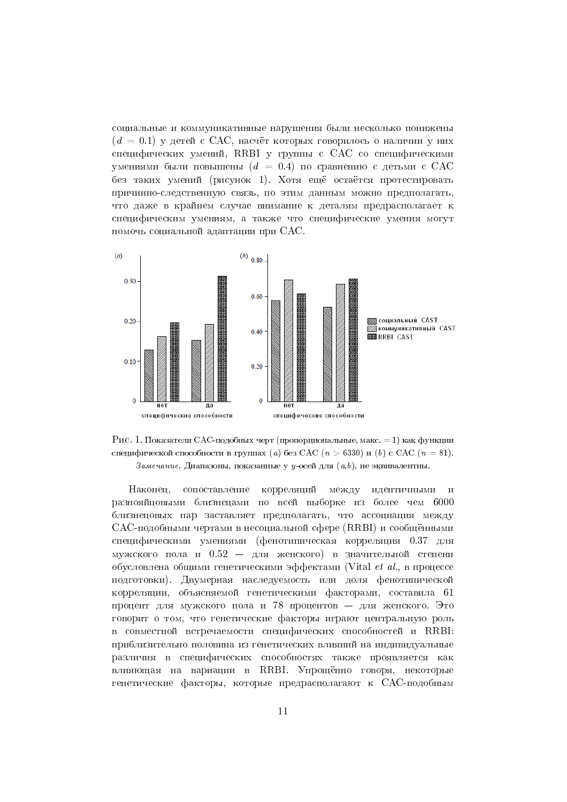социальные и коммуникативные нарушения были несколько понижены  $(d = 0.1)$  у детей с САС, насчёт которых говорилось о наличии у них специфических умений, RRBI у группы с САС со специфическими умениями были повышены  $(d = 0.4)$  по сравнению с детьми с САС без таких умений (рисунок 1). Хотя ещё остаётся протестировать причинно-следственную связь, по этим данным можно предполагать, что лаже в крайнем случае внимание к леталям предрасполагает к специфическим умениям, а также что специфические умения могут помочь социальной адаптации при САС.





корреляций между Наконеп. сопоставление идентичными и разнояйцовыми близнецами по всей выборке из более чем 6000 близнецовых пар заставляет предполагать, что ассоциация между САС-подобными чертами в несоциальной сфере (RRBI) и сообщёнными специфическими умениями (фенотипическая корреляция 0.37 для мужского пола и  $0.52 - \mu\pi$  женского) в значительной степени обусловлена общими генетическими эффектами (Vital et al., в процессе полготовки). Лвумерная наслелуемость или доля фенотипической корреляции, объясняемой генетическими факторами, составила 61 процент для мужского пола и 78 процентов - для женского. Это говорит о том, что генетические факторы играют центральную роль в совместной встречаемости специфических способностей и RRBI: приблизительно половина из генетических влияний на индивидуальные различия в специфических способностях также проявляется как влияющая на вариации в RRBI. Упрощённо говоря, некоторые генетические факторы, которые предрасполагают к САС-подобным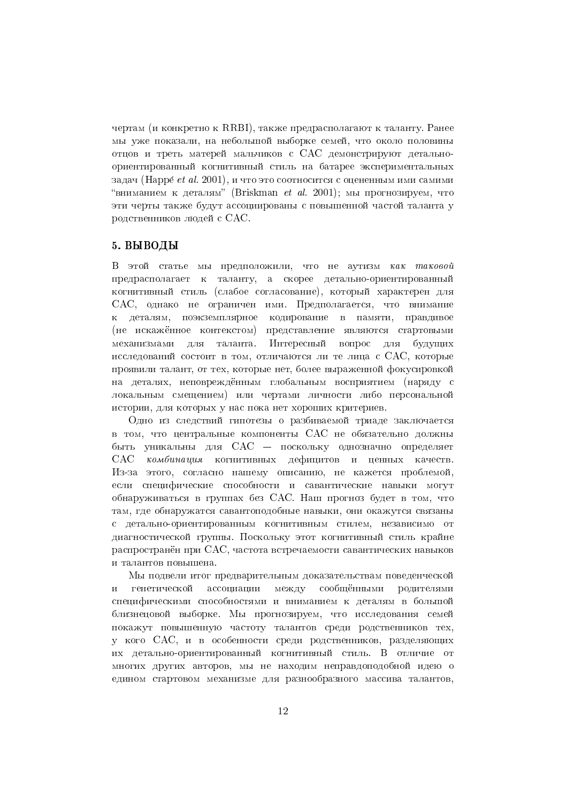чертам (и конкретно к RRBI), также предрасполагают к таланту. Ранее мы уже показали, на небольшой выборке семей, что около половины отцов и треть матерей мальчиков с САС демонстрируют детальноориентированный когнитивный стиль на батарее экспериментальных задач (Нарре́ et al. 2001), и что это соотносится с оцененным ими самими "вниманием к деталям" (Briskman et al. 2001); мы прогнозируем, что эти черты также булут ассоциированы с повышенной частой таланта у родственников людей с САС.

#### 5. ВЫВОДЫ

В этой статье мы предположили, что не аутизм как таковой предрасполагает к таланту, а скорее детально-ориентированный когнитивный стиль (слабое согласование), который характерен для САС, однако не ограничен ими. Предполагается, что внимание к деталям, поэкземплярное кодирование в памяти, правдивое (не искажённое контекстом) представление являются стартовыми Интересный вопрос для механизмами для таланта. будущих исследований состоит в том, отличаются ли те лица с САС, которые проявили талант, от тех, которые нет, более выраженной фокусировкой на леталях, неповрежлённым глобальным восприятием (нарялу с локальным смещением) или чертами личности либо персональной истории, для которых у нас пока нет хороших критериев.

Одно из следствий гипотезы о разбиваемой триаде заключается в том, что центральные компоненты САС не обязательно должны быть уникальны для CAC - поскольку однозначно определяет комбинация когнитивных дефицитов и ценных качеств.  $CAC$ Из-за этого, согласно нашему описанию, не кажется проблемой, если специфические способности и савантические навыки могут обнаруживаться в группах без САС. Наш прогноз будет в том, что там, где обнаружатся савантоподобные навыки, они окажутся связаны с детально-ориентированным когнитивным стилем, независимо от диагностической группы. Поскольку этот когнитивный стиль крайне распространён при САС, частота встречаемости савантических навыков и талантов повышена.

Мы подвели итог предварительным доказательствам поведенческой генетической ассоциации между сообщёнными родителями  $\overline{\mathbf{M}}$ специфическими способностями и вниманием к деталям в большой близнецовой выборке. Мы прогнозируем, что исследования семей покажут повышенную частоту талантов среди родственников тех, у кого САС, и в особенности среди родственников, разделяющих их детально-ориентированный когнитивный стиль. В отличие от многих других авторов, мы не находим неправдоподобной идею о едином стартовом механизме для разнообразного массива талантов,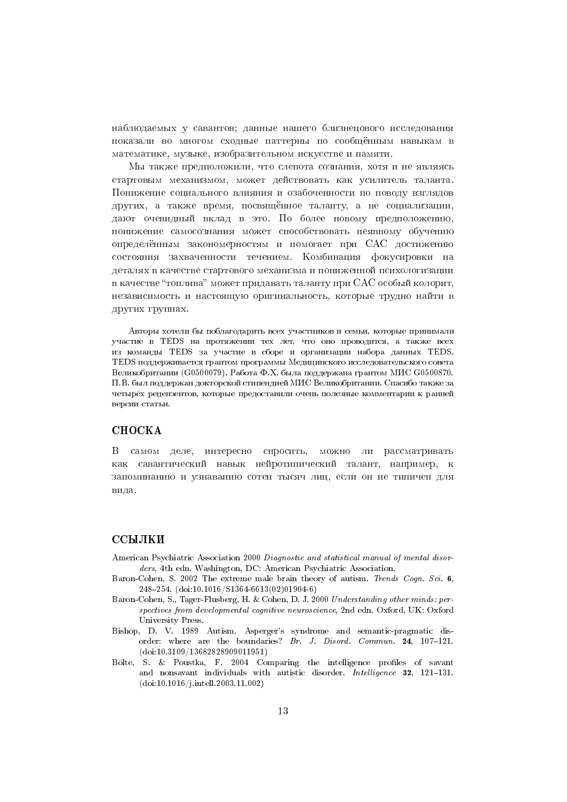наблюдаемых у савантов; данные нашего близнецового исследования показали во многом сходные паттерны по сообщённым навыкам в математике, музыке, изобразительном искусстве и памяти.

Мы также предположили, что слепота сознания, хотя и не являясь стартовым механизмом, может действовать как усилитель таланта. Понижение социального влияния и озабоченности по поводу взглядов лругих, а также время, посвящённое таланту, а не социализации, дают очевидный вклад в это. По более новому предположению, понижение самосознания может способствовать неявному обучению определённым закономерностям и помогает при САС достижению состояния захваченности течением. Комбинация фокусировки на деталях в качестве стартового механизма и пониженной психологизации в качестве "топлива" может придавать таланту при САС особый колорит, независимость и настоящую оригинальность, которые трудно найти в других группах.

Авторы хотели бы поблагодарить всех участников и семьи, которые принимали участие в TEDS на протяжении тех лет, что оно проводится, а также всех из команды TEDS за участие в сборе и организации набора данных TEDS. TEDS поддерживается грантом программы Медицинского исследовательского совета Великобритании (G0500079). Работа Ф.Х. была поддержана грантом МИС G0500870. П.В. был поллержан локторской стипендией МИС Великобритании. Спасибо также за четырёх рецензентов, которые предоставили очень полезные комментарии к ранней версии статьи.

## **CHOCKA**

В самом деле, интересно спросить, можно ли рассматривать как савантический навык нейротипический талант, например, к запоминанию и узнаванию сотен тысяч лиц, если он не типичен для вила.

### ССЫЛКИ

- American Psychiatric Association 2000 Diagnostic and statistical manual of mental disorders, 4th edn. Washington, DC: American Psychiatric Association.
- Baron-Cohen, S. 2002 The extreme male brain theory of autism. Trends Cogn. Sci. 6, 248-254. (doi:10.1016/S1364-6613(02)01904-6)
- Baron-Cohen, S., Tager-Flusberg, H. & Cohen, D. J. 2000 Understanding other minds: perspectives from developmental cognitive neuroscience, 2nd edn. Oxford, UK: Oxford University Press.
- Bishop, D. V. 1989 Autism, Asperger's syndrome and semantic-pragmatic disorder: where are the boundaries? Br. J. Disord. Commun. 24, 107-121.  $(doi: 10.3109/13682828909011951)$
- Bölte, S. & Poustka, F. 2004 Comparing the intelligence profiles of savant and nonsavant individuals with autistic disorder. Intelligence 32, 121-131.  $(doi: 10.1016/j.intell.2003.11.002)$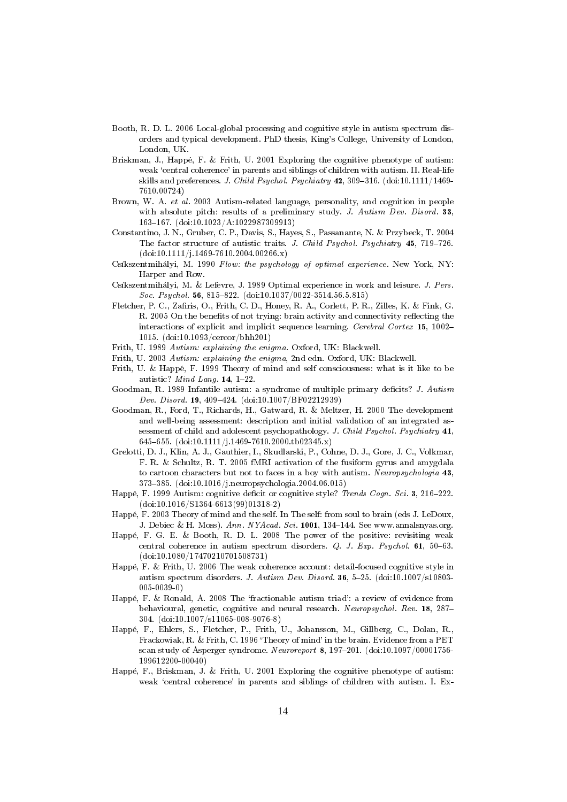- Booth, R. D. L. 2006 Local-global processing and cognitive style in autism spectrum disorders and typical development. PhD thesis, King's College, University of London, London, UK.
- Briskman, J., Happé, F. & Frith, U. 2001 Exploring the cognitive phenotype of autism: weak 'central coherence' in parents and siblings of children with autism. II. Real-life skills and preferences. J. Child Psychol. Psychiatry 42, 309-316. (doi:10.1111/1469-7610.00724)
- Brown, W. A. et al. 2003 Autism-related language, personality, and cognition in people with absolute pitch: results of a preliminary study. J. Autism Dev. Disord. 33, 163-167. (doi:10.1023/A:1022987309913)
- Constantino, J. N., Gruber, C. P., Davis, S., Hayes, S., Passanante, N. & Przybeck, T. 2004 The factor structure of autistic traits. J. Child Psychol. Psychiatry 45, 719-726.  $(doi:10.1111/j.1469-7610.2004.00266.x)$
- Csíkszentmihályi, M. 1990 Flow: the psychology of optimal experience. New York, NY: Harper and Row.
- Csíkszentmihályi, M. & Lefevre, J. 1989 Optimal experience in work and leisure. J. Pers. Soc. Psychol. 56, 815-822. (doi:10.1037/0022-3514.56.5.815)
- Fletcher, P. C., Zafiris, O., Frith, C. D., Honey, R. A., Corlett, P. R., Zilles, K. & Fink, G. R. 2005 On the benefits of not trying: brain activity and connectivity reflecting the interactions of explicit and implicit sequence learning. Cerebral Cortex 15, 1002-1015.  $(doi: 10.1093/cercor/bhh201)$
- Frith, U. 1989 Autism: explaining the enigma. Oxford, UK: Blackwell.
- Frith, U. 2003 Autism: explaining the enigma, 2nd edn. Oxford, UK: Blackwell.
- Frith, U. & Happé, F. 1999 Theory of mind and self consciousness: what is it like to be autistic? Mind Lang. 14, 1-22.
- Goodman, R. 1989 Infantile autism: a syndrome of multiple primary deficits? J. Autism Dev. Disord. 19, 409-424. (doi:10.1007/BF02212939)
- Goodman, R., Ford, T., Richards, H., Gatward, R. & Meltzer, H. 2000 The development and well-being assessment: description and initial validation of an integrated assessment of child and adolescent psychopathology. J. Child Psychol. Psychiatry 41, 645-655. (doi:10.1111/j.1469-7610.2000.tb02345.x)
- Grelotti, D. J., Klin, A. J., Gauthier, I., Skudlarski, P., Cohne, D. J., Gore, J. C., Volkmar, F. R. & Schultz, R. T. 2005 fMRI activation of the fusiform gyrus and amygdala to cartoon characters but not to faces in a boy with autism. Neuropsychologia 43, 373-385. (doi:10.1016/j.neuropsychologia.2004.06.015)
- Happé, F. 1999 Autism: cognitive deficit or cognitive style? Trends Cogn. Sci. 3, 216-222.  $(doi:10.1016/S1364-6613(99)01318-2)$
- Happé, F. 2003 Theory of mind and the self. In The self: from soul to brain (eds J. LeDoux, J. Debiec & H. Moss). Ann. NYAcad. Sci. 1001, 134-144. See www.annalsnyas.org.
- Happé, F. G. E. & Booth, R. D. L. 2008 The power of the positive: revisiting weak central coherence in autism spectrum disorders.  $Q$ . J. Exp. Psychol. 61, 50-63.  $(doi:10.1080/17470210701508731)$
- Happé, F. & Frith, U. 2006 The weak coherence account: detail-focused cognitive style in autism spectrum disorders. J. Autism Dev. Disord. 36, 5-25. (doi:10.1007/s10803- $005 - 0039 - 0$
- Happé, F. & Ronald, A. 2008 The 'fractionable autism triad': a review of evidence from behavioural, genetic, cognitive and neural research. Neuropsychol. Rev. 18, 287-304. (doi:10.1007/s11065-008-9076-8)
- Happé, F., Ehlers, S., Fletcher, P., Frith, U., Johansson, M., Gillberg, C., Dolan, R., Frackowiak, R. & Frith, C. 1996 'Theory of mind' in the brain. Evidence from a PET scan study of Asperger syndrome. Neuroreport 8, 197-201. (doi:10.1097/00001756-199612200-00040)
- Happé, F., Briskman, J. & Frith, U. 2001 Exploring the cognitive phenotype of autism: weak 'central coherence' in parents and siblings of children with autism. I. Ex-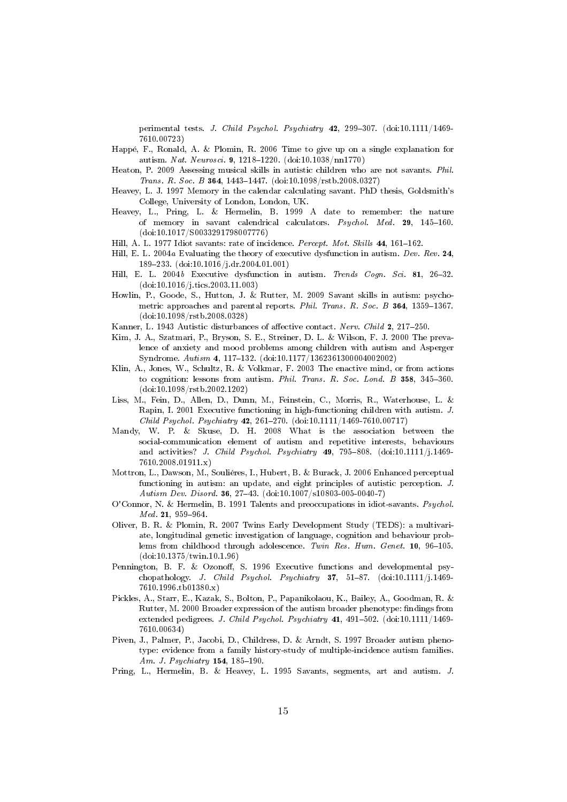perimental tests. J. Child Psychol. Psychiatry 42, 299-307. (doi:10.1111/1469-7610.00723)

- Happé, F., Ronald, A. & Plomin, R. 2006 Time to give up on a single explanation for autism. Nat. Neurosci. 9, 1218-1220. (doi:10.1038/nn1770)
- Heaton, P. 2009 Assessing musical skills in autistic children who are not savants. Phil. Trans. R. Soc. B 364, 1443-1447. (doi:10.1098/rstb.2008.0327)
- Heavey, L. J. 1997 Memory in the calendar calculating savant. PhD thesis, Goldsmith's College, University of London, London, UK.
- Heavey, L., Pring, L. & Hermelin, B. 1999 A date to remember: the nature of memory in savant calendrical calculators. Psychol. Med. 29, 145-160.  $(doi:10.1017/S0033291798007776)$
- Hill, A. L. 1977 Idiot savants: rate of incidence. Percept. Mot. Skills 44, 161-162.
- Hill, E. L. 2004a Evaluating the theory of executive dysfunction in autism. Dev. Rev. 24, 189-233.  $(doi:10.1016/j.dr.2004.01.001)$
- Hill, E. L. 2004b Executive dysfunction in autism. Trends Cogn. Sci. 81, 26-32.  $(doi:10.1016/j.tics.2003.11.003)$
- Howlin, P., Goode, S., Hutton, J. & Rutter, M. 2009 Savant skills in autism: psychometric approaches and parental reports. Phil. Trans. R. Soc. B 364, 1359-1367.  $(doi:10.1098/rstb.2008.0328)$
- Kanner, L. 1943 Autistic disturbances of affective contact. Nerv. Child 2, 217-250.
- Kim, J. A., Szatmari, P., Bryson, S. E., Streiner, D. L. & Wilson, F. J. 2000 The prevalence of anxiety and mood problems among children with autism and Asperger Syndrome. Autism 4, 117-132. (doi:10.1177/1362361300004002002)
- Klin, A., Jones, W., Schultz, R. & Volkmar, F. 2003 The enactive mind, or from actions to cognition: lessons from autism. Phil. Trans. R. Soc. Lond. B 358, 345-360.  $(doi:10.1098/rstb.2002.1202)$
- Liss, M., Fein, D., Allen, D., Dunn, M., Feinstein, C., Morris, R., Waterhouse, L. & Rapin, I. 2001 Executive functioning in high-functioning children with autism. J. Child Psychol. Psychiatry 42, 261-270. (doi:10.1111/1469-7610.00717)
- Mandy, W. P. & Skuse, D. H. 2008 What is the association between the social-communication element of autism and repetitive interests, behaviours and activities? J. Child Psychol. Psychiatry  $49$ , 795-808. (doi:10.1111/j.1469-7610.2008.01911.x)
- Mottron, L., Dawson, M., Souliéres, I., Hubert, B. & Burack, J. 2006 Enhanced perceptual functioning in autism: an update, and eight principles of autistic perception. J. Autism Dev. Disord. 36, 27-43. (doi:10.1007/s10803-005-0040-7)
- O'Connor, N. & Hermelin, B. 1991 Talents and preoccupations in idiot-savants. Psychol. Med. 21, 959-964.
- Oliver, B. R. & Plomin, R. 2007 Twins Early Development Study (TEDS): a multivariate, longitudinal genetic investigation of language, cognition and behaviour problems from childhood through adolescence. Twin Res. Hum. Genet.  $10, 96-105$ .  $(doi:10.1375/twin.10.1.96)$
- Pennington, B. F. & Ozonoff, S. 1996 Executive functions and developmental psychopathology. J. Child Psychol. Psychiatry  $37, 51-87.$  (doi:10.1111/j.1469- $7610.1996.tb01380.x$
- Pickles, A., Starr, E., Kazak, S., Bolton, P., Papanikolaou, K., Bailey, A., Goodman, R. & Rutter, M. 2000 Broader expression of the autism broader phenotype: findings from extended pedigrees. J. Child Psychol. Psychiatry 41, 491-502. (doi:10.1111/1469-7610.00634)
- Piven, J., Palmer, P., Jacobi, D., Childress, D. & Arndt, S. 1997 Broader autism phenotype: evidence from a family history-study of multiple-incidence autism families. Am. J. Psychiatry 154, 185-190.
- Pring, L., Hermelin, B. & Heavey, L. 1995 Savants, segments, art and autism. J.